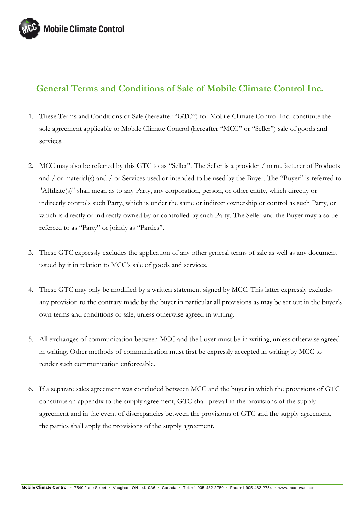

## **General Terms and Conditions of Sale of Mobile Climate Control Inc.**

- 1. These Terms and Conditions of Sale (hereafter "GTC") for Mobile Climate Control Inc. constitute the sole agreement applicable to Mobile Climate Control (hereafter "MCC" or "Seller") sale of goods and services.
- 2. MCC may also be referred by this GTC to as "Seller". The Seller is a provider / manufacturer of Products and / or material(s) and / or Services used or intended to be used by the Buyer. The "Buyer" is referred to "Affiliate(s)" shall mean as to any Party, any corporation, person, or other entity, which directly or indirectly controls such Party, which is under the same or indirect ownership or control as such Party, or which is directly or indirectly owned by or controlled by such Party. The Seller and the Buyer may also be referred to as "Party" or jointly as "Parties".
- 3. These GTC expressly excludes the application of any other general terms of sale as well as any document issued by it in relation to MCC's sale of goods and services.
- 4. These GTC may only be modified by a written statement signed by MCC. This latter expressly excludes any provision to the contrary made by the buyer in particular all provisions as may be set out in the buyer's own terms and conditions of sale, unless otherwise agreed in writing.
- 5. All exchanges of communication between MCC and the buyer must be in writing, unless otherwise agreed in writing. Other methods of communication must first be expressly accepted in writing by MCC to render such communication enforceable.
- 6. If a separate sales agreement was concluded between MCC and the buyer in which the provisions of GTC constitute an appendix to the supply agreement, GTC shall prevail in the provisions of the supply agreement and in the event of discrepancies between the provisions of GTC and the supply agreement, the parties shall apply the provisions of the supply agreement.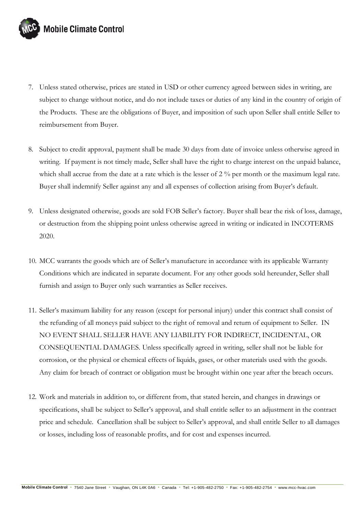

- 7. Unless stated otherwise, prices are stated in USD or other currency agreed between sides in writing, are subject to change without notice, and do not include taxes or duties of any kind in the country of origin of the Products. These are the obligations of Buyer, and imposition of such upon Seller shall entitle Seller to reimbursement from Buyer.
- 8. Subject to credit approval, payment shall be made 30 days from date of invoice unless otherwise agreed in writing. If payment is not timely made, Seller shall have the right to charge interest on the unpaid balance, which shall accrue from the date at a rate which is the lesser of 2 % per month or the maximum legal rate. Buyer shall indemnify Seller against any and all expenses of collection arising from Buyer's default.
- 9. Unless designated otherwise, goods are sold FOB Seller's factory. Buyer shall bear the risk of loss, damage, or destruction from the shipping point unless otherwise agreed in writing or indicated in INCOTERMS 2020.
- 10. MCC warrants the goods which are of Seller's manufacture in accordance with its applicable Warranty Conditions which are indicated in separate document. For any other goods sold hereunder, Seller shall furnish and assign to Buyer only such warranties as Seller receives.
- 11. Seller's maximum liability for any reason (except for personal injury) under this contract shall consist of the refunding of all moneys paid subject to the right of removal and return of equipment to Seller. IN NO EVENT SHALL SELLER HAVE ANY LIABILITY FOR INDIRECT, INCIDENTAL, OR CONSEQUENTIAL DAMAGES. Unless specifically agreed in writing, seller shall not be liable for corrosion, or the physical or chemical effects of liquids, gases, or other materials used with the goods. Any claim for breach of contract or obligation must be brought within one year after the breach occurs.
- 12. Work and materials in addition to, or different from, that stated herein, and changes in drawings or specifications, shall be subject to Seller's approval, and shall entitle seller to an adjustment in the contract price and schedule. Cancellation shall be subject to Seller's approval, and shall entitle Seller to all damages or losses, including loss of reasonable profits, and for cost and expenses incurred.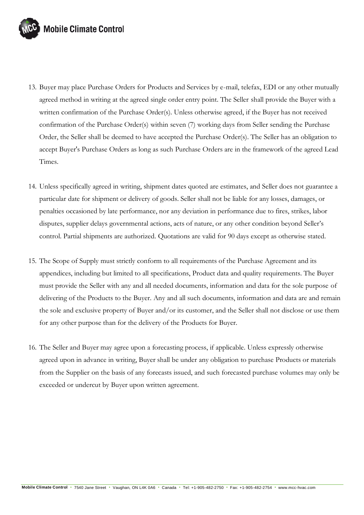

- 13. Buyer may place Purchase Orders for Products and Services by e-mail, telefax, EDI or any other mutually agreed method in writing at the agreed single order entry point. The Seller shall provide the Buyer with a written confirmation of the Purchase Order(s). Unless otherwise agreed, if the Buyer has not received confirmation of the Purchase Order(s) within seven (7) working days from Seller sending the Purchase Order, the Seller shall be deemed to have accepted the Purchase Order(s). The Seller has an obligation to accept Buyer's Purchase Orders as long as such Purchase Orders are in the framework of the agreed Lead Times.
- 14. Unless specifically agreed in writing, shipment dates quoted are estimates, and Seller does not guarantee a particular date for shipment or delivery of goods. Seller shall not be liable for any losses, damages, or penalties occasioned by late performance, nor any deviation in performance due to fires, strikes, labor disputes, supplier delays governmental actions, acts of nature, or any other condition beyond Seller's control. Partial shipments are authorized. Quotations are valid for 90 days except as otherwise stated.
- 15. The Scope of Supply must strictly conform to all requirements of the Purchase Agreement and its appendices, including but limited to all specifications, Product data and quality requirements. The Buyer must provide the Seller with any and all needed documents, information and data for the sole purpose of delivering of the Products to the Buyer. Any and all such documents, information and data are and remain the sole and exclusive property of Buyer and/or its customer, and the Seller shall not disclose or use them for any other purpose than for the delivery of the Products for Buyer.
- 16. The Seller and Buyer may agree upon a forecasting process, if applicable. Unless expressly otherwise agreed upon in advance in writing, Buyer shall be under any obligation to purchase Products or materials from the Supplier on the basis of any forecasts issued, and such forecasted purchase volumes may only be exceeded or undercut by Buyer upon written agreement.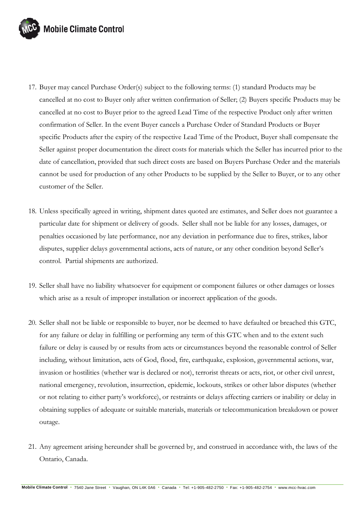

- 17. Buyer may cancel Purchase Order(s) subject to the following terms: (1) standard Products may be cancelled at no cost to Buyer only after written confirmation of Seller; (2) Buyers specific Products may be cancelled at no cost to Buyer prior to the agreed Lead Time of the respective Product only after written confirmation of Seller. In the event Buyer cancels a Purchase Order of Standard Products or Buyer specific Products after the expiry of the respective Lead Time of the Product, Buyer shall compensate the Seller against proper documentation the direct costs for materials which the Seller has incurred prior to the date of cancellation, provided that such direct costs are based on Buyers Purchase Order and the materials cannot be used for production of any other Products to be supplied by the Seller to Buyer, or to any other customer of the Seller.
- 18. Unless specifically agreed in writing, shipment dates quoted are estimates, and Seller does not guarantee a particular date for shipment or delivery of goods. Seller shall not be liable for any losses, damages, or penalties occasioned by late performance, nor any deviation in performance due to fires, strikes, labor disputes, supplier delays governmental actions, acts of nature, or any other condition beyond Seller's control. Partial shipments are authorized.
- 19. Seller shall have no liability whatsoever for equipment or component failures or other damages or losses which arise as a result of improper installation or incorrect application of the goods.
- 20. Seller shall not be liable or responsible to buyer, nor be deemed to have defaulted or breached this GTC, for any failure or delay in fulfilling or performing any term of this GTC when and to the extent such failure or delay is caused by or results from acts or circumstances beyond the reasonable control of Seller including, without limitation, acts of God, flood, fire, earthquake, explosion, governmental actions, war, invasion or hostilities (whether war is declared or not), terrorist threats or acts, riot, or other civil unrest, national emergency, revolution, insurrection, epidemic, lockouts, strikes or other labor disputes (whether or not relating to either party's workforce), or restraints or delays affecting carriers or inability or delay in obtaining supplies of adequate or suitable materials, materials or telecommunication breakdown or power outage.
- 21. Any agreement arising hereunder shall be governed by, and construed in accordance with, the laws of the Ontario, Canada.